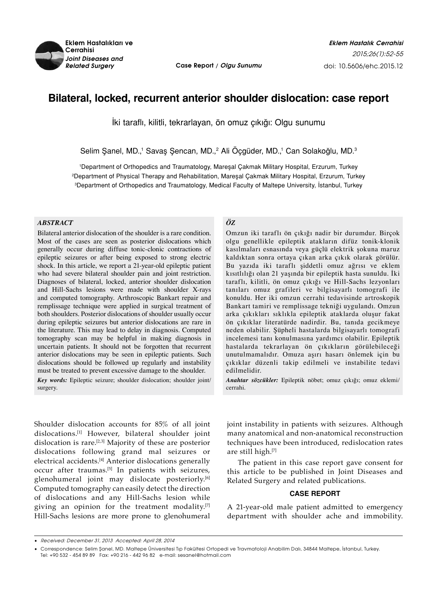

*Related Surgery* **Case Report / Olgu Sunumu**

# **Bilateral, locked, recurrent anterior shoulder dislocation: case report**

İki taraflı, kilitli, tekrarlayan, ön omuz çıkığı: Olgu sunumu

Selim Şanel, MD.,<sup>1</sup> Savaş Şencan, MD.,<sup>2</sup> Ali Oçgüder, MD.,<sup>1</sup> Can Solakoğlu, MD.<sup>3</sup>

1 Department of Orthopedics and Traumatology, Mareşal Çakmak Military Hospital, Erzurum, Turkey 2 Department of Physical Therapy and Rehabilitation, Mareşal Çakmak Military Hospital, Erzurum, Turkey 3 Department of Orthopedics and Traumatology, Medical Faculty of Maltepe University, İstanbul, Turkey

### *ABSTRACT*

Bilateral anterior dislocation of the shoulder is a rare condition. Most of the cases are seen as posterior dislocations which generally occur during diffuse tonic-clonic contractions of epileptic seizures or after being exposed to strong electric shock. In this article, we report a 21-year-old epileptic patient who had severe bilateral shoulder pain and joint restriction. Diagnoses of bilateral, locked, anterior shoulder dislocation and Hill-Sachs lesions were made with shoulder X-rays and computed tomography. Arthroscopic Bankart repair and remplissage technique were applied in surgical treatment of both shoulders. Posterior dislocations of shoulder usually occur during epileptic seizures but anterior dislocations are rare in the literature. This may lead to delay in diagnosis. Computed tomography scan may be helpful in making diagnosis in uncertain patients. It should not be forgotten that recurrent anterior dislocations may be seen in epileptic patients. Such dislocations should be followed up regularly and instability must be treated to prevent excessive damage to the shoulder.

*Key words:* Epileptic seizure; shoulder dislocation; shoulder joint/ surgery.

Shoulder dislocation accounts for 85% of all joint dislocations.[1] However, bilateral shoulder joint dislocation is rare.[2,3] Majority of these are posterior dislocations following grand mal seizures or electrical accidents.[4] Anterior dislocations generally occur after traumas.[5] In patients with seizures, glenohumeral joint may dislocate posteriorly.<sup>[6]</sup> Computed tomography can easily detect the direction of dislocations and any Hill-Sachs lesion while giving an opinion for the treatment modality.[7] Hill-Sachs lesions are more prone to glenohumeral

## *ÖZ*

Omzun iki taraflı ön çıkığı nadir bir durumdur. Birçok olgu genellikle epileptik atakların difüz tonik-klonik kasılmaları esnasında veya güçlü elektrik şokuna maruz kaldıktan sonra ortaya çıkan arka çıkık olarak görülür. Bu yazıda iki taraflı şiddetli omuz ağrısı ve eklem kısıtlılığı olan 21 yaşında bir epileptik hasta sunuldu. İki taraflı, kilitli, ön omuz çıkığı ve Hill-Sachs lezyonları tanıları omuz grafileri ve bilgisayarlı tomografi ile konuldu. Her iki omzun cerrahi tedavisinde artroskopik Bankart tamiri ve remplissage tekniği uygulandı. Omzun arka çıkıkları sıklıkla epileptik ataklarda oluşur fakat ön çıkıklar literatürde nadirdir. Bu, tanıda gecikmeye neden olabilir. Şüpheli hastalarda bilgisayarlı tomografi incelemesi tanı konulmasına yardımcı olabilir. Epileptik hastalarda tekrarlayan ön çıkıkların görülebileceği unutulmamalıdır. Omuza aşırı hasarı önlemek için bu çıkıklar düzenli takip edilmeli ve instabilite tedavi edilmelidir.

*Anahtar sözcükler:* Epileptik nöbet; omuz çıkığı; omuz eklemi/ cerrahi.

joint instability in patients with seizures. Although many anatomical and non-anatomical reconstruction techniques have been introduced, redislocation rates are still high.[7]

The patient in this case report gave consent for this article to be published in Joint Diseases and Related Surgery and related publications.

# **CASE REPORT**

A 21-year-old male patient admitted to emergency department with shoulder ache and immobility.

<sup>•</sup>  Received: December 31, 2013 Accepted: April 28, 2014

<sup>•</sup> Correspondence: Selim Şanel, MD. Maltepe Üniversitesi Tıp Fakültesi Ortopedi ve Travmatoloji Anabilim Dalı, 34844 Maltepe, İstanbul, Turkey. Tel: +90 532 - 454 89 89 Fax: +90 216 - 442 96 82 e-mail: sesanel@hotmail.com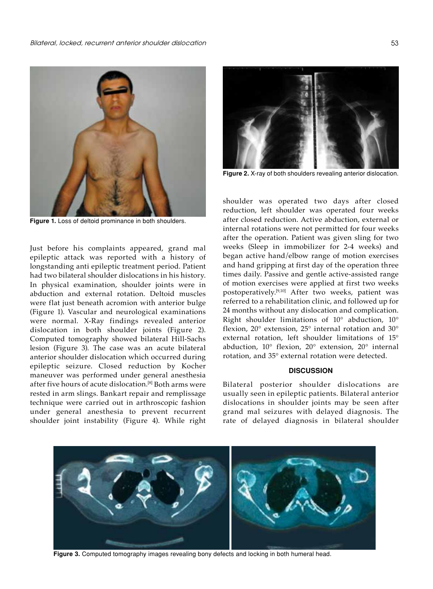

**Figure 1.** Loss of deltoid prominance in both shoulders.

Just before his complaints appeared, grand mal epileptic attack was reported with a history of longstanding anti epileptic treatment period. Patient had two bilateral shoulder dislocations in his history. In physical examination, shoulder joints were in abduction and external rotation. Deltoid muscles were flat just beneath acromion with anterior bulge (Figure 1). Vascular and neurological examinations were normal. X-Ray findings revealed anterior dislocation in both shoulder joints (Figure 2). Computed tomography showed bilateral Hill-Sachs lesion (Figure 3). The case was an acute bilateral anterior shoulder dislocation which occurred during epileptic seizure. Closed reduction by Kocher maneuver was performed under general anesthesia after five hours of acute dislocation.[8] Both arms were rested in arm slings. Bankart repair and remplissage technique were carried out in arthroscopic fashion under general anesthesia to prevent recurrent shoulder joint instability (Figure 4). While right



**Figure 2.** X-ray of both shoulders revealing anterior dislocation.

shoulder was operated two days after closed reduction, left shoulder was operated four weeks after closed reduction. Active abduction, external or internal rotations were not permitted for four weeks after the operation. Patient was given sling for two weeks (Sleep in immobilizer for 2-4 weeks) and began active hand/elbow range of motion exercises and hand gripping at first day of the operation three times daily. Passive and gentle active-assisted range of motion exercises were applied at first two weeks postoperatively.[9,10] After two weeks, patient was referred to a rehabilitation clinic, and followed up for 24 months without any dislocation and complication. Right shoulder limitations of 10° abduction, 10° flexion, 20° extension, 25° internal rotation and 30° external rotation, left shoulder limitations of 15° abduction, 10° flexion, 20° extension, 20° internal rotation, and 35° external rotation were detected.

### **DISCUSSION**

Bilateral posterior shoulder dislocations are usually seen in epileptic patients. Bilateral anterior dislocations in shoulder joints may be seen after grand mal seizures with delayed diagnosis. The rate of delayed diagnosis in bilateral shoulder



**Figure 3.** Computed tomography images revealing bony defects and locking in both humeral head.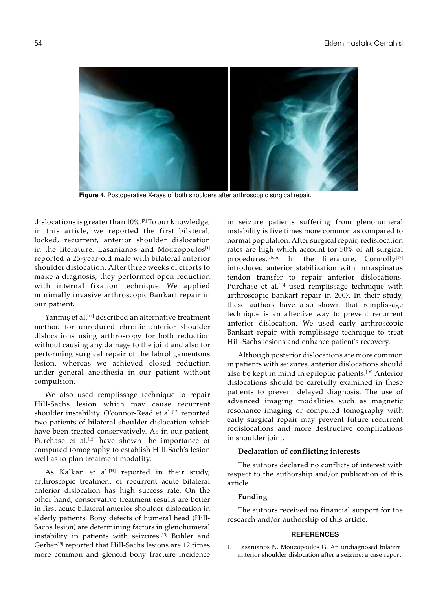

**Figure 4.** Postoperative X-rays of both shoulders after arthroscopic surgical repair.

dislocations is greater than 10%.[7] To our knowledge, in this article, we reported the first bilateral, locked, recurrent, anterior shoulder dislocation in the literature. Lasanianos and Mouzopoulos<sup>[1]</sup> reported a 25-year-old male with bilateral anterior shoulder dislocation. After three weeks of efforts to make a diagnosis, they performed open reduction with internal fixation technique. We applied minimally invasive arthroscopic Bankart repair in our patient.

Yanmış et al.<sup>[11]</sup> described an alternative treatment method for unreduced chronic anterior shoulder dislocations using arthroscopy for both reduction without causing any damage to the joint and also for performing surgical repair of the labroligamentous lesion, whereas we achieved closed reduction under general anesthesia in our patient without compulsion.

We also used remplissage technique to repair Hill-Sachs lesion which may cause recurrent shoulder instability. O'connor-Read et al.<sup>[12]</sup> reported two patients of bilateral shoulder dislocation which have been treated conservatively. As in our patient, Purchase et al.<sup>[13]</sup> have shown the importance of computed tomography to establish Hill-Sach's lesion well as to plan treatment modality.

As Kalkan et al.<sup>[14]</sup> reported in their study, arthroscopic treatment of recurrent acute bilateral anterior dislocation has high success rate. On the other hand, conservative treatment results are better in first acute bilateral anterior shoulder dislocation in elderly patients. Bony defects of humeral head (Hill-Sachs lesion) are determining factors in glenohumeral instability in patients with seizures.[13] Bühler and Gerber<sup>[15]</sup> reported that Hill-Sachs lesions are 12 times more common and glenoid bony fracture incidence in seizure patients suffering from glenohumeral instability is five times more common as compared to normal population. After surgical repair, redislocation rates are high which account for 50% of all surgical procedures.<sup>[15,16]</sup> In the literature, Connolly<sup>[17]</sup> introduced anterior stabilization with infraspinatus tendon transfer to repair anterior dislocations. Purchase et al.<sup>[13]</sup> used remplissage technique with arthroscopic Bankart repair in 2007. In their study, these authors have also shown that remplissage technique is an affective way to prevent recurrent anterior dislocation. We used early arthroscopic Bankart repair with remplissage technique to treat Hill-Sachs lesions and enhance patient's recovery.

Although posterior dislocations are more common in patients with seizures, anterior dislocations should also be kept in mind in epileptic patients.[18] Anterior dislocations should be carefully examined in these patients to prevent delayed diagnosis. The use of advanced imaging modalities such as magnetic resonance imaging or computed tomography with early surgical repair may prevent future recurrent redislocations and more destructive complications in shoulder joint.

#### **Declaration of conflicting interests**

The authors declared no conflicts of interest with respect to the authorship and/or publication of this article.

## **Funding**

The authors received no financial support for the research and/or authorship of this article.

#### **REFERENCES**

1. Lasanianos N, Mouzopoulos G. An undiagnosed bilateral anterior shoulder dislocation after a seizure: a case report.